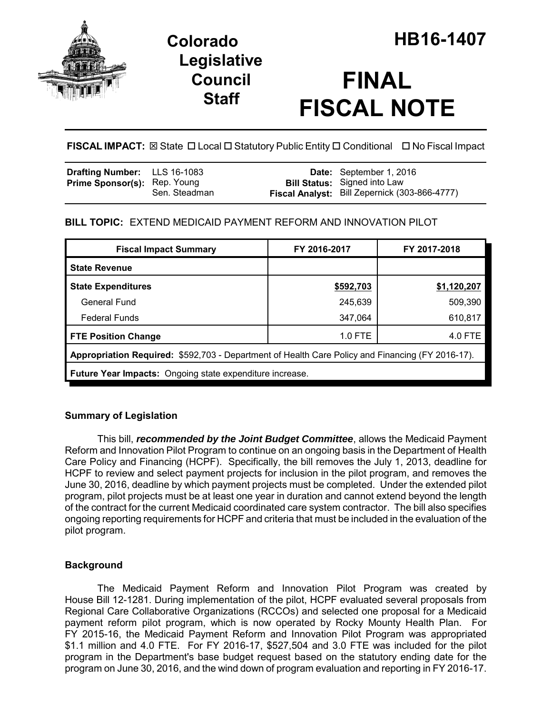

## **Legislative Council Staff**

# **FINAL FISCAL NOTE**

FISCAL IMPACT:  $\boxtimes$  State  $\Box$  Local  $\Box$  Statutory Public Entity  $\Box$  Conditional  $\Box$  No Fiscal Impact

| <b>Drafting Number:</b> LLS 16-1083 |               | <b>Date:</b> September 1, 2016                                                       |
|-------------------------------------|---------------|--------------------------------------------------------------------------------------|
| <b>Prime Sponsor(s): Rep. Young</b> | Sen. Steadman | <b>Bill Status:</b> Signed into Law<br>Fiscal Analyst: Bill Zepernick (303-866-4777) |

## **BILL TOPIC:** EXTEND MEDICAID PAYMENT REFORM AND INNOVATION PILOT

| <b>Fiscal Impact Summary</b>                                                                     | FY 2016-2017 | FY 2017-2018 |  |  |  |
|--------------------------------------------------------------------------------------------------|--------------|--------------|--|--|--|
| <b>State Revenue</b>                                                                             |              |              |  |  |  |
| <b>State Expenditures</b>                                                                        | \$592,703    | \$1,120,207  |  |  |  |
| General Fund                                                                                     | 245,639      | 509,390      |  |  |  |
| <b>Federal Funds</b>                                                                             | 347,064      | 610,817      |  |  |  |
| <b>FTE Position Change</b>                                                                       | 1.0 FTE      | 4.0 FTE      |  |  |  |
| Appropriation Required: \$592,703 - Department of Health Care Policy and Financing (FY 2016-17). |              |              |  |  |  |
| <b>Future Year Impacts:</b> Ongoing state expenditure increase.                                  |              |              |  |  |  |

## **Summary of Legislation**

This bill, *recommended by the Joint Budget Committee*, allows the Medicaid Payment Reform and Innovation Pilot Program to continue on an ongoing basis in the Department of Health Care Policy and Financing (HCPF). Specifically, the bill removes the July 1, 2013, deadline for HCPF to review and select payment projects for inclusion in the pilot program, and removes the June 30, 2016, deadline by which payment projects must be completed. Under the extended pilot program, pilot projects must be at least one year in duration and cannot extend beyond the length of the contract for the current Medicaid coordinated care system contractor. The bill also specifies ongoing reporting requirements for HCPF and criteria that must be included in the evaluation of the pilot program.

## **Background**

The Medicaid Payment Reform and Innovation Pilot Program was created by House Bill 12-1281. During implementation of the pilot, HCPF evaluated several proposals from Regional Care Collaborative Organizations (RCCOs) and selected one proposal for a Medicaid payment reform pilot program, which is now operated by Rocky Mounty Health Plan. For FY 2015-16, the Medicaid Payment Reform and Innovation Pilot Program was appropriated \$1.1 million and 4.0 FTE. For FY 2016-17, \$527,504 and 3.0 FTE was included for the pilot program in the Department's base budget request based on the statutory ending date for the program on June 30, 2016, and the wind down of program evaluation and reporting in FY 2016-17.